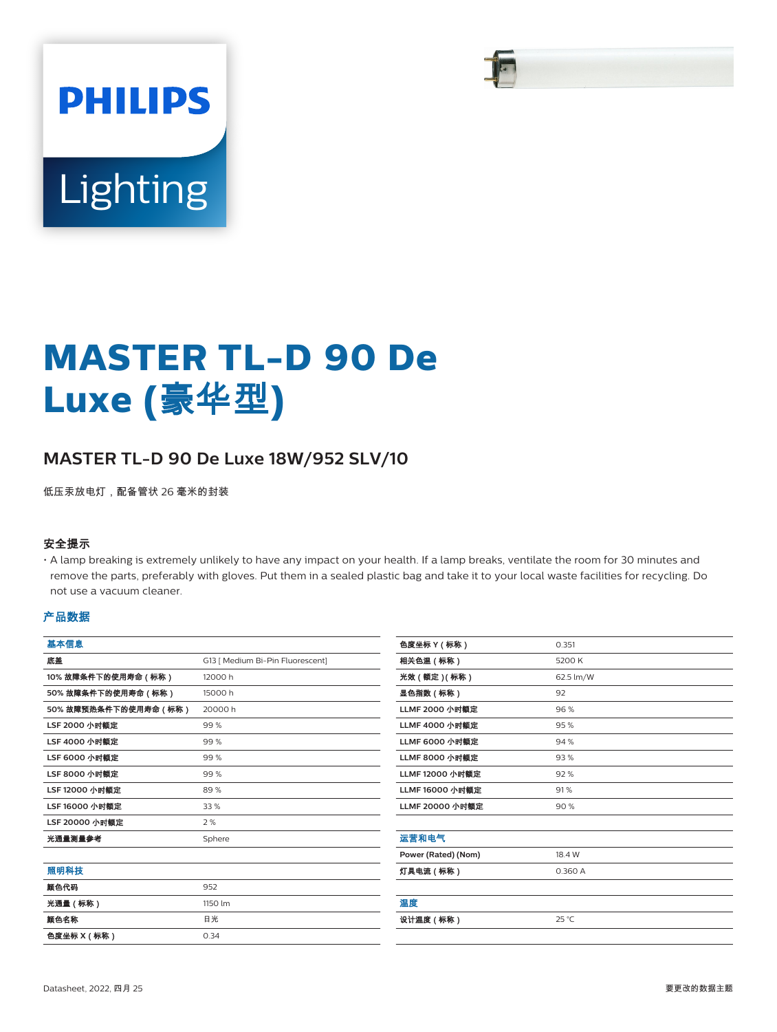

# Lighting

**PHILIPS** 

# **MASTER TL-D 90 De Luxe (**豪华型**)**

# **MASTER TL-D 90 De Luxe 18W/952 SLV/10**

低压汞放电灯,配备管状 26 毫米的封装

#### 安全提示

• A lamp breaking is extremely unlikely to have any impact on your health. If a lamp breaks, ventilate the room for 30 minutes and remove the parts, preferably with gloves. Put them in a sealed plastic bag and take it to your local waste facilities for recycling. Do not use a vacuum cleaner.

#### 产品数据

| 基本信息                  |                                  |
|-----------------------|----------------------------------|
| 底盖                    | G13   Medium Bi-Pin Fluorescent] |
| 10% 故障条件下的使用寿命 ( 标称 ) | 12000 h                          |
| 50%故障条件下的使用寿命(标称)     | 15000 h                          |
| 50%故障预热条件下的使用寿命(标称)   | 20000 h                          |
| LSF 2000 小时额定         | 99%                              |
| LSF 4000 小时额定         | 99%                              |
| LSF 6000 小时额定         | 99%                              |
| LSF 8000 小时额定         | 99%                              |
| LSF 12000 小时额定        | 89%                              |
| LSF 16000 小时额定        | 33 %                             |
| LSF 20000 小时额定        | 2%                               |
| 光通量测量参考               | Sphere                           |
|                       |                                  |
| 照明科技                  |                                  |
| 颜色代码                  | 952                              |
| 光通量(标称)               | 1150 lm                          |
| 颜色名称                  | 日光                               |
| 色度坐标 X ( 标称 )         | 0.34                             |
|                       |                                  |

| 色度坐标 Y (标称)           | 0.351     |
|-----------------------|-----------|
| 相关色温(标称)              | 5200 K    |
| 光效(额定)(标称)            | 62.5 lm/W |
| 显色指数(标称)              | 92        |
| LLMF 2000 小时额定        | 96%       |
| <b>LLMF 4000 小时额定</b> | 95%       |
| <b>LLMF 6000 小时额定</b> | 94%       |
| <b>LLMF 8000 小时额定</b> | 93%       |
| LLMF 12000 小时额定       | 92%       |
| LLMF 16000 小时额定       | 91%       |
| LLMF 20000 小时额定       | 90%       |
|                       |           |
| 运营和电气                 |           |
| Power (Rated) (Nom)   | 18.4 W    |
| 灯具电流 ( 标称 )           | 0.360 A   |
|                       |           |
| 温度                    |           |
| 设计温度(标称)              | 25 °C     |
|                       |           |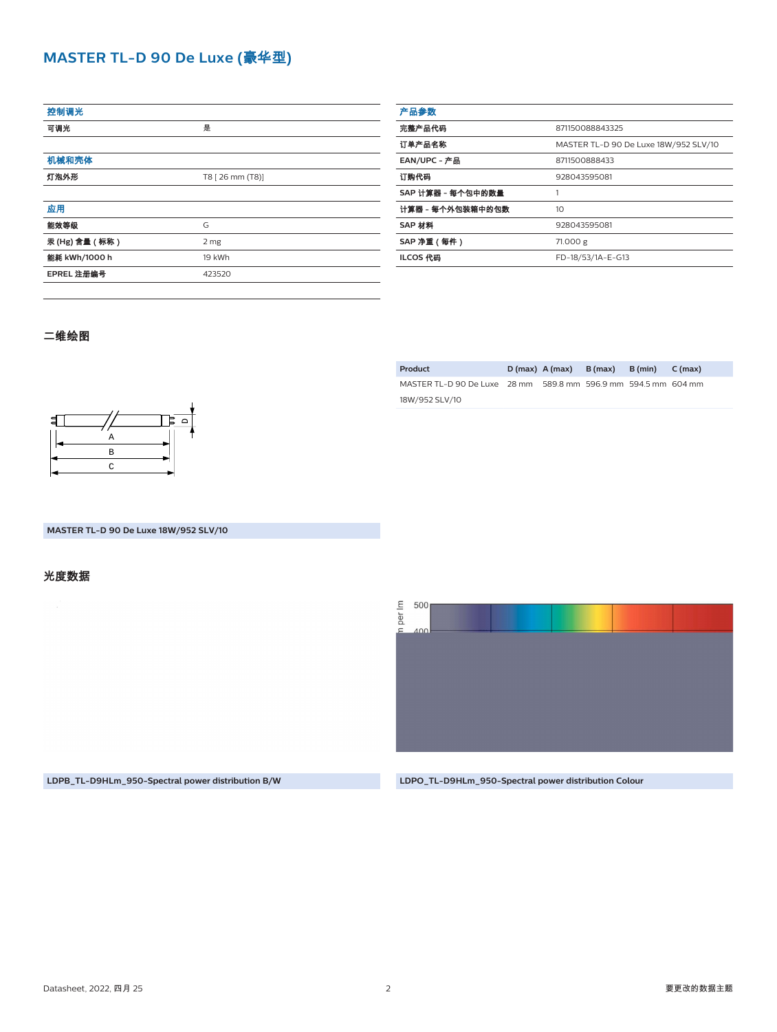### **MASTER TL-D 90 De Luxe (**豪华型**)**

| 控制调光          |                  |  |
|---------------|------------------|--|
| 可调光           | 是                |  |
|               |                  |  |
| 机械和壳体         |                  |  |
| 灯泡外形          | T8 [ 26 mm (T8)] |  |
|               |                  |  |
| 应用            |                  |  |
| 能效等级          | G                |  |
| 汞(Hg) 含量 (标称) | 2 mg             |  |
| 能耗 kWh/1000 h | 19 kWh           |  |
| EPREL 注册编号    | 423520           |  |
|               |                  |  |

| 产品参数              |                                       |
|-------------------|---------------------------------------|
| 完整产品代码            | 871150088843325                       |
| 订单产品名称            | MASTER TL-D 90 De Luxe 18W/952 SLV/10 |
| EAN/UPC - 产品      | 8711500888433                         |
| 订购代码              | 928043595081                          |
| SAP 计算器 - 每个包中的数量 |                                       |
| 计算器 - 每个外包装箱中的包数  | 10                                    |
| SAP 材料            | 928043595081                          |
| SAP 净重 (每件)       | 71.000 g                              |
| ILCOS 代码          | FD-18/53/1A-E-G13                     |
|                   |                                       |

#### 二维绘图



**MASTER TL-D 90 De Luxe 18W/952 SLV/10**

# 光度数据

**Product D (max) A (max) B (max) B (min) C (max)** MASTER TL-D 90 De Luxe 28 mm 589.8 mm 596.9 mm 594.5 mm 604 mm

18W/952 SLV/10



**LDPB\_TL-D9HLm\_950-Spectral power distribution B/W LDPO\_TL-D9HLm\_950-Spectral power distribution Colour**